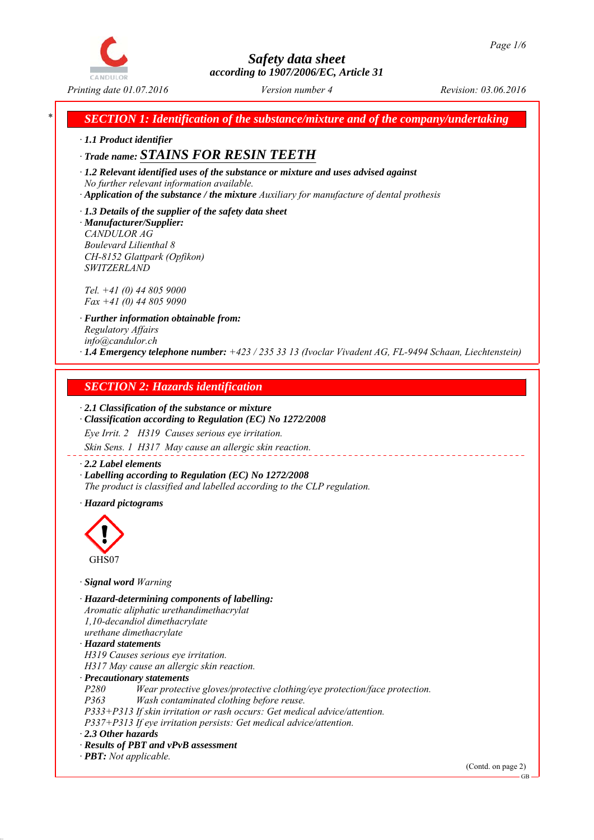

*Printing date 01.07.2016 Revision: 03.06.2016 Version number 4*

*\* SECTION 1: Identification of the substance/mixture and of the company/undertaking*

*∙ 1.1 Product identifier*

# *∙ Trade name: STAINS FOR RESIN TEETH*

*∙ 1.2 Relevant identified uses of the substance or mixture and uses advised against No further relevant information available.*

*∙ Application of the substance / the mixture Auxiliary for manufacture of dental prothesis*

*∙ 1.3 Details of the supplier of the safety data sheet ∙ Manufacturer/Supplier: CANDULOR AG Boulevard Lilienthal 8 CH-8152 Glattpark (Opfikon)*

*Tel. +41 (0) 44 805 9000 Fax +41 (0) 44 805 9090*

*SWITZERLAND*

*∙ Further information obtainable from: Regulatory Affairs info@candulor.ch ∙ 1.4 Emergency telephone number: +423 / 235 33 13 (Ivoclar Vivadent AG, FL-9494 Schaan, Liechtenstein)*

# *SECTION 2: Hazards identification*

## *∙ 2.1 Classification of the substance or mixture*

*∙ Classification according to Regulation (EC) No 1272/2008*

*Eye Irrit. 2 H319 Causes serious eye irritation. Skin Sens. 1 H317 May cause an allergic skin reaction.*

#### *∙ 2.2 Label elements*

*∙ Labelling according to Regulation (EC) No 1272/2008 The product is classified and labelled according to the CLP regulation.*

*∙ Hazard pictograms*



*∙ Signal word Warning*

*∙ Hazard-determining components of labelling: Aromatic aliphatic urethandimethacrylat 1,10-decandiol dimethacrylate urethane dimethacrylate ∙ Hazard statements H319 Causes serious eye irritation. H317 May cause an allergic skin reaction. ∙ Precautionary statements P280 Wear protective gloves/protective clothing/eye protection/face protection. P363 Wash contaminated clothing before reuse. P333+P313 If skin irritation or rash occurs: Get medical advice/attention. P337+P313 If eye irritation persists: Get medical advice/attention. ∙ 2.3 Other hazards ∙ Results of PBT and vPvB assessment ∙ PBT: Not applicable.*

(Contd. on page 2)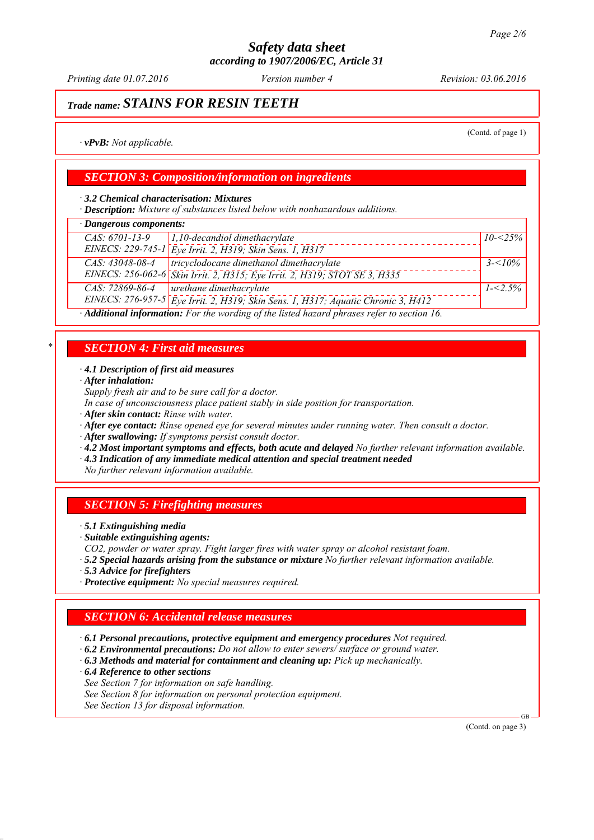*Printing date 01.07.2016 Revision: 03.06.2016 Version number 4*

# *Trade name: STAINS FOR RESIN TEETH*

(Contd. of page 1)

*∙ vPvB: Not applicable.*

## *SECTION 3: Composition/information on ingredients*

*∙ 3.2 Chemical characterisation: Mixtures*

*∙ Description: Mixture of substances listed below with nonhazardous additions.*

# *∙ Dangerous components:*

| Paus et ous controllers.                                                                    |                                                                                   |             |  |
|---------------------------------------------------------------------------------------------|-----------------------------------------------------------------------------------|-------------|--|
| $CAS: 6701-13-9$                                                                            | $1,10$ -decandiol dimethacrylate                                                  | $10 - 25\%$ |  |
|                                                                                             | EINECS: 229-745-1 Eye Irrit. 2, H319; Skin Sens. 1, H317                          |             |  |
| CAS: 43048-08-4                                                                             | tricyclodocane dimethanol dimethacrylate                                          | $3 - 10\%$  |  |
|                                                                                             | EINECS: 256-062-6 Skin Irrit. 2, H315; Eye Irrit. 2, H319; STOT SE 3, H335        |             |  |
| CAS: 72869-86-4                                                                             | urethane dimethacrylate                                                           | $1 - 5\%$   |  |
|                                                                                             | EINECS: 276-957-5 Eye Irrit. 2, H319; Skin Sens. 1, H317; Aquatic Chronic 3, H412 |             |  |
| · Additional information: For the wording of the listed hazard phrases refer to section 16. |                                                                                   |             |  |

# *\* SECTION 4: First aid measures*

#### *∙ 4.1 Description of first aid measures*

*∙ After inhalation:*

*Supply fresh air and to be sure call for a doctor.*

- *In case of unconsciousness place patient stably in side position for transportation.*
- *∙ After skin contact: Rinse with water.*
- *∙ After eye contact: Rinse opened eye for several minutes under running water. Then consult a doctor.*
- *∙ After swallowing: If symptoms persist consult doctor.*
- *∙ 4.2 Most important symptoms and effects, both acute and delayed No further relevant information available.*
- *∙ 4.3 Indication of any immediate medical attention and special treatment needed*

*No further relevant information available.*

## *SECTION 5: Firefighting measures*

*∙ 5.1 Extinguishing media*

- *∙ Suitable extinguishing agents:*
- *CO2, powder or water spray. Fight larger fires with water spray or alcohol resistant foam.*
- *∙ 5.2 Special hazards arising from the substance or mixture No further relevant information available.*
- *∙ 5.3 Advice for firefighters*
- *∙ Protective equipment: No special measures required.*

## *SECTION 6: Accidental release measures*

*∙ 6.1 Personal precautions, protective equipment and emergency procedures Not required.*

- *∙ 6.2 Environmental precautions: Do not allow to enter sewers/ surface or ground water.*
- *∙ 6.3 Methods and material for containment and cleaning up: Pick up mechanically.*
- *∙ 6.4 Reference to other sections*

*See Section 7 for information on safe handling.*

*See Section 8 for information on personal protection equipment.*

*See Section 13 for disposal information.*

(Contd. on page 3)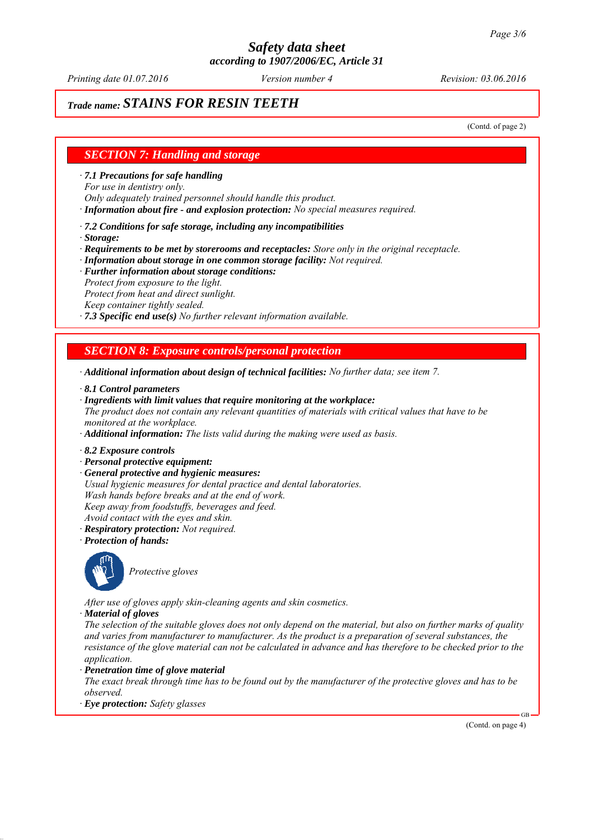*Printing date 01.07.2016 Revision: 03.06.2016 Version number 4*

# *Trade name: STAINS FOR RESIN TEETH*

(Contd. of page 2)

### *SECTION 7: Handling and storage*

*∙ 7.1 Precautions for safe handling*

*For use in dentistry only.*

*Only adequately trained personnel should handle this product.*

*∙ Information about fire - and explosion protection: No special measures required.*

*∙ 7.2 Conditions for safe storage, including any incompatibilities*

*∙ Storage:*

*∙ Requirements to be met by storerooms and receptacles: Store only in the original receptacle.*

*∙ Information about storage in one common storage facility: Not required.*

- *∙ Further information about storage conditions:*
- *Protect from exposure to the light.*
- *Protect from heat and direct sunlight.*

*Keep container tightly sealed.*

*∙ 7.3 Specific end use(s) No further relevant information available.*

*SECTION 8: Exposure controls/personal protection*

*∙ Additional information about design of technical facilities: No further data; see item 7.*

- *∙ 8.1 Control parameters*
- *∙ Ingredients with limit values that require monitoring at the workplace:*
- *The product does not contain any relevant quantities of materials with critical values that have to be monitored at the workplace.*
- *∙ Additional information: The lists valid during the making were used as basis.*
- *∙ 8.2 Exposure controls*
- *∙ Personal protective equipment:*
- *∙ General protective and hygienic measures:*
- *Usual hygienic measures for dental practice and dental laboratories.*
- *Wash hands before breaks and at the end of work.*
- *Keep away from foodstuffs, beverages and feed.*
- *Avoid contact with the eyes and skin.*
- *∙ Respiratory protection: Not required.*
- *∙ Protection of hands:*



*Protective gloves*

*After use of gloves apply skin-cleaning agents and skin cosmetics.*

*∙ Material of gloves*

*The selection of the suitable gloves does not only depend on the material, but also on further marks of quality and varies from manufacturer to manufacturer. As the product is a preparation of several substances, the resistance of the glove material can not be calculated in advance and has therefore to be checked prior to the application.*

*∙ Penetration time of glove material*

*The exact break through time has to be found out by the manufacturer of the protective gloves and has to be observed.*

*∙ Eye protection: Safety glasses*

(Contd. on page 4)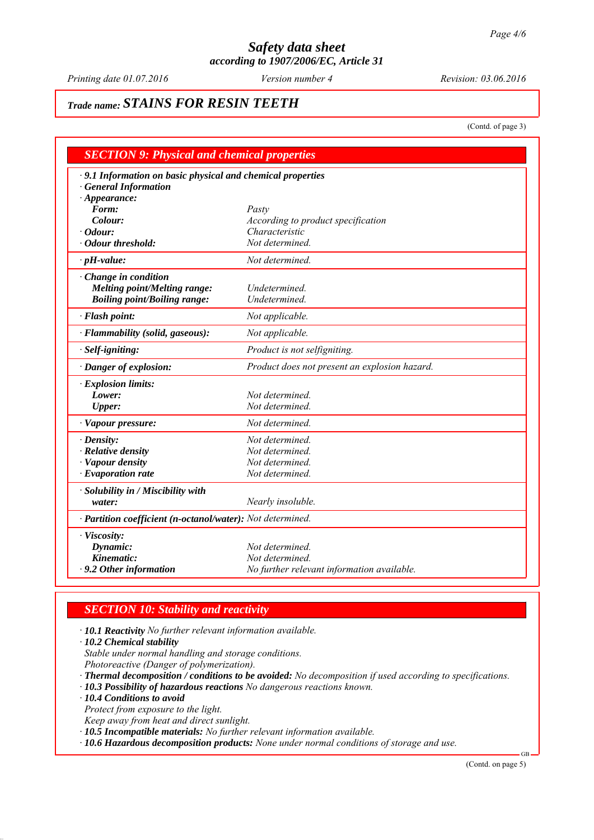*Printing date 01.07.2016 Revision: 03.06.2016 Version number 4*

# *Trade name: STAINS FOR RESIN TEETH*

(Contd. of page 3)

| <b>SECTION 9: Physical and chemical properties</b>          |                                               |
|-------------------------------------------------------------|-----------------------------------------------|
| · 9.1 Information on basic physical and chemical properties |                                               |
| <b>General Information</b>                                  |                                               |
| $\cdot$ Appearance:                                         |                                               |
| Form:                                                       | Pasty                                         |
| Colour:                                                     | According to product specification            |
| $\cdot$ Odour:                                              | Characteristic                                |
| Odour threshold:                                            | Not determined.                               |
| $\cdot$ pH-value:                                           | Not determined.                               |
| Change in condition                                         |                                               |
| <b>Melting point/Melting range:</b>                         | Undetermined.                                 |
| <b>Boiling point/Boiling range:</b>                         | Undetermined.                                 |
| · Flash point:                                              | Not applicable.                               |
| · Flammability (solid, gaseous):                            | Not applicable.                               |
| · Self-igniting:                                            | Product is not selfigniting.                  |
| · Danger of explosion:                                      | Product does not present an explosion hazard. |
| $\cdot$ Explosion limits:                                   |                                               |
| Lower:                                                      | Not determined.                               |
| <b>Upper:</b>                                               | Not determined.                               |
| · Vapour pressure:                                          | Not determined.                               |
| $\cdot$ Density:                                            | Not determined.                               |
| · Relative density                                          | Not determined.                               |
| · Vapour density                                            | Not determined.                               |
| $\cdot$ Evaporation rate                                    | Not determined.                               |
| · Solubility in / Miscibility with                          |                                               |
| water:                                                      | Nearly insoluble.                             |
| · Partition coefficient (n-octanol/water): Not determined.  |                                               |
| · Viscosity:                                                |                                               |
| Dynamic:                                                    | Not determined.                               |
| Kinematic:                                                  | Not determined.                               |
| $\cdot$ 9.2 Other information                               | No further relevant information available.    |

# *SECTION 10: Stability and reactivity*

*∙ 10.1 Reactivity No further relevant information available.*

*∙ 10.2 Chemical stability*

*Stable under normal handling and storage conditions.*

*Photoreactive (Danger of polymerization).*

*∙ Thermal decomposition / conditions to be avoided: No decomposition if used according to specifications.*

*∙ 10.3 Possibility of hazardous reactions No dangerous reactions known.*

*∙ 10.4 Conditions to avoid*

*Protect from exposure to the light.*

*Keep away from heat and direct sunlight.*

*∙ 10.5 Incompatible materials: No further relevant information available.*

*∙ 10.6 Hazardous decomposition products: None under normal conditions of storage and use.*

(Contd. on page 5)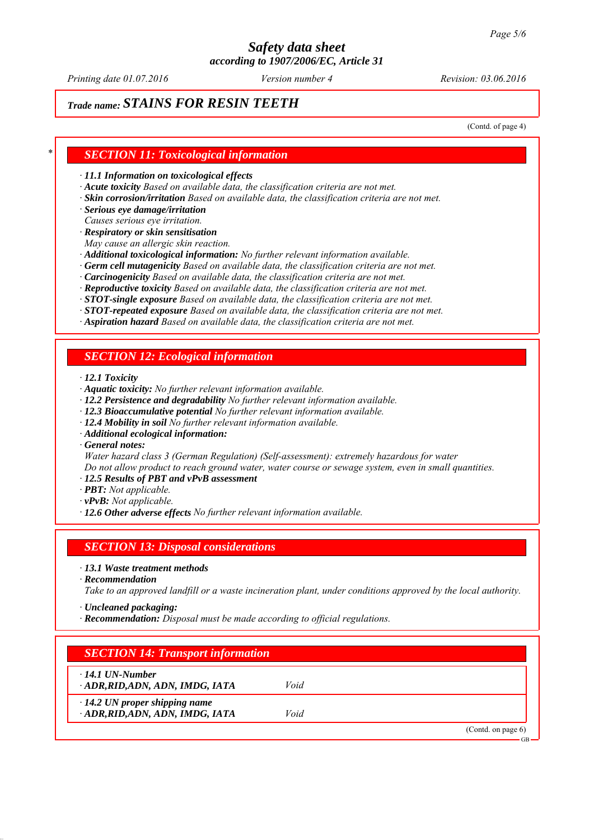*Printing date 01.07.2016 Revision: 03.06.2016 Version number 4*

# *Trade name: STAINS FOR RESIN TEETH*

(Contd. of page 4)

### *\* SECTION 11: Toxicological information*

*∙ 11.1 Information on toxicological effects*

- *∙ Acute toxicity Based on available data, the classification criteria are not met.*
- *∙ Skin corrosion/irritation Based on available data, the classification criteria are not met.*

*∙ Serious eye damage/irritation*

*Causes serious eye irritation.*

*∙ Respiratory or skin sensitisation*

*May cause an allergic skin reaction.*

- *∙ Additional toxicological information: No further relevant information available.*
- *∙ Germ cell mutagenicity Based on available data, the classification criteria are not met.*
- *∙ Carcinogenicity Based on available data, the classification criteria are not met.*
- *∙ Reproductive toxicity Based on available data, the classification criteria are not met.*
- *∙ STOT-single exposure Based on available data, the classification criteria are not met.*
- *∙ STOT-repeated exposure Based on available data, the classification criteria are not met.*
- *∙ Aspiration hazard Based on available data, the classification criteria are not met.*

## *SECTION 12: Ecological information*

*∙ 12.1 Toxicity*

- *∙ Aquatic toxicity: No further relevant information available.*
- *∙ 12.2 Persistence and degradability No further relevant information available.*
- *∙ 12.3 Bioaccumulative potential No further relevant information available.*
- *∙ 12.4 Mobility in soil No further relevant information available.*
- *∙ Additional ecological information:*

*∙ General notes:*

*Water hazard class 3 (German Regulation) (Self-assessment): extremely hazardous for water Do not allow product to reach ground water, water course or sewage system, even in small quantities.*

- *∙ 12.5 Results of PBT and vPvB assessment*
- *∙ PBT: Not applicable.*
- *∙ vPvB: Not applicable.*
- *∙ 12.6 Other adverse effects No further relevant information available.*

#### *SECTION 13: Disposal considerations*

*∙ 13.1 Waste treatment methods*

*∙ Recommendation*

*Take to an approved landfill or a waste incineration plant, under conditions approved by the local authority.*

*∙ Uncleaned packaging:*

*∙ Recommendation: Disposal must be made according to official regulations.*

# *SECTION 14: Transport information*

*∙ 14.1 UN-Number*

*∙ ADR,RID,ADN, ADN, IMDG, IATA Void*

- *∙ 14.2 UN proper shipping name*
- *∙ ADR,RID,ADN, ADN, IMDG, IATA Void*

(Contd. on page 6)